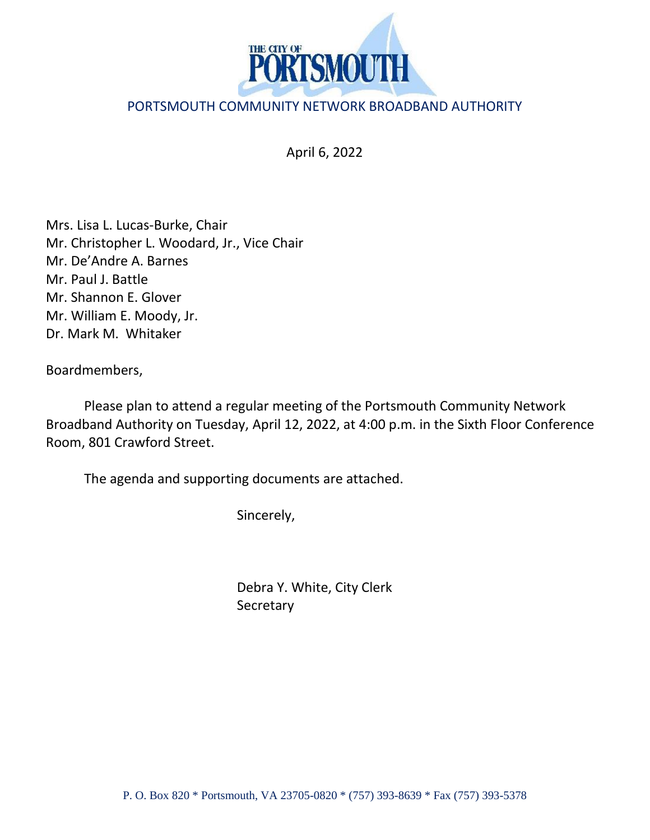

## PORTSMOUTH COMMUNITY NETWORK BROADBAND AUTHORITY

April 6, 2022

Mrs. Lisa L. Lucas-Burke, Chair Mr. Christopher L. Woodard, Jr., Vice Chair Mr. De'Andre A. Barnes Mr. Paul J. Battle Mr. Shannon E. Glover Mr. William E. Moody, Jr. Dr. Mark M. Whitaker

Boardmembers,

Please plan to attend a regular meeting of the Portsmouth Community Network Broadband Authority on Tuesday, April 12, 2022, at 4:00 p.m. in the Sixth Floor Conference Room, 801 Crawford Street.

The agenda and supporting documents are attached.

Sincerely,

Debra Y. White, City Clerk **Secretary**